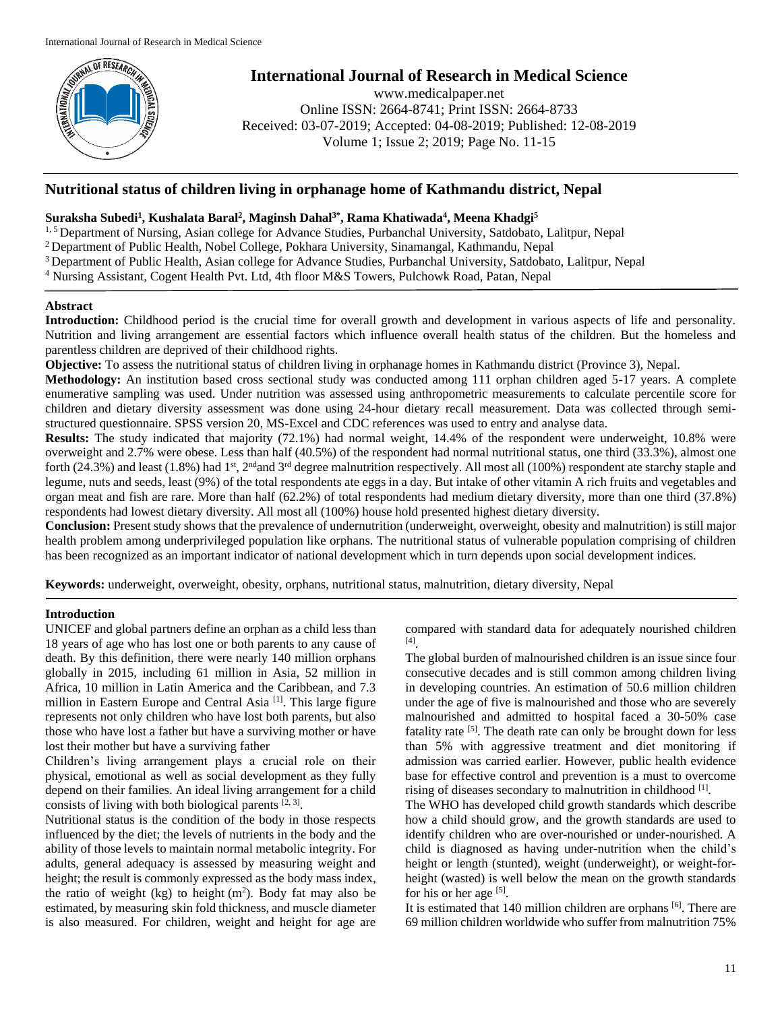

# **International Journal of Research in Medical Science**

www.medicalpaper.net Online ISSN: 2664-8741; Print ISSN: 2664-8733 Received: 03-07-2019; Accepted: 04-08-2019; Published: 12-08-2019 Volume 1; Issue 2; 2019; Page No. 11-15

# **Nutritional status of children living in orphanage home of Kathmandu district, Nepal**

# **Suraksha Subedi<sup>1</sup> , Kushalata Baral<sup>2</sup> , Maginsh Dahal3\* , Rama Khatiwada<sup>4</sup> , Meena Khadgi<sup>5</sup>**

1, 5 Department of Nursing, Asian college for Advance Studies, Purbanchal University, Satdobato, Lalitpur, Nepal

- <sup>2</sup> Department of Public Health, Nobel College, Pokhara University, Sinamangal, Kathmandu, Nepal
- <sup>3</sup> Department of Public Health, Asian college for Advance Studies, Purbanchal University, Satdobato, Lalitpur, Nepal
- <sup>4</sup> Nursing Assistant, Cogent Health Pvt. Ltd, 4th floor M&S Towers, Pulchowk Road, Patan, Nepal

# **Abstract**

**Introduction:** Childhood period is the crucial time for overall growth and development in various aspects of life and personality. Nutrition and living arrangement are essential factors which influence overall health status of the children. But the homeless and parentless children are deprived of their childhood rights.

**Objective:** To assess the nutritional status of children living in orphanage homes in Kathmandu district (Province 3), Nepal.

**Methodology:** An institution based cross sectional study was conducted among 111 orphan children aged 5-17 years. A complete enumerative sampling was used. Under nutrition was assessed using anthropometric measurements to calculate percentile score for children and dietary diversity assessment was done using 24-hour dietary recall measurement. Data was collected through semistructured questionnaire. SPSS version 20, MS-Excel and CDC references was used to entry and analyse data.

**Results:** The study indicated that majority (72.1%) had normal weight, 14.4% of the respondent were underweight, 10.8% were overweight and 2.7% were obese. Less than half (40.5%) of the respondent had normal nutritional status, one third (33.3%), almost one forth (24.3%) and least (1.8%) had 1<sup>st</sup>, 2<sup>nd</sup> and 3<sup>rd</sup> degree malnutrition respectively. All most all (100%) respondent ate starchy staple and legume, nuts and seeds, least (9%) of the total respondents ate eggs in a day. But intake of other vitamin A rich fruits and vegetables and organ meat and fish are rare. More than half (62.2%) of total respondents had medium dietary diversity, more than one third (37.8%) respondents had lowest dietary diversity. All most all (100%) house hold presented highest dietary diversity.

**Conclusion:** Present study shows that the prevalence of undernutrition (underweight, overweight, obesity and malnutrition) is still major health problem among underprivileged population like orphans. The nutritional status of vulnerable population comprising of children has been recognized as an important indicator of national development which in turn depends upon social development indices.

**Keywords:** underweight, overweight, obesity, orphans, nutritional status, malnutrition, dietary diversity, Nepal

# **Introduction**

UNICEF and global partners define an orphan as a child less than 18 years of age who has lost one or both parents to any cause of death. By this definition, there were nearly 140 million orphans globally in 2015, including 61 million in Asia, 52 million in Africa, 10 million in Latin America and the Caribbean, and 7.3 million in Eastern Europe and Central Asia<sup>[1]</sup>. This large figure represents not only children who have lost both parents, but also those who have lost a father but have a surviving mother or have lost their mother but have a surviving father

Children's living arrangement plays a crucial role on their physical, emotional as well as social development as they fully depend on their families. An ideal living arrangement for a child consists of living with both biological parents  $[2, 3]$ .

Nutritional status is the condition of the body in those respects influenced by the diet; the levels of nutrients in the body and the ability of those levels to maintain normal metabolic integrity. For adults, general adequacy is assessed by measuring weight and height; the result is commonly expressed as the body mass index, the ratio of weight (kg) to height  $(m<sup>2</sup>)$ . Body fat may also be estimated, by measuring skin fold thickness, and muscle diameter is also measured. For children, weight and height for age are

compared with standard data for adequately nourished children [4] .

The global burden of malnourished children is an issue since four consecutive decades and is still common among children living in developing countries. An estimation of 50.6 million children under the age of five is malnourished and those who are severely malnourished and admitted to hospital faced a 30-50% case fatality rate <sup>[5]</sup>. The death rate can only be brought down for less than 5% with aggressive treatment and diet monitoring if admission was carried earlier. However, public health evidence base for effective control and prevention is a must to overcome rising of diseases secondary to malnutrition in childhood [1].

The WHO has developed child growth standards which describe how a child should grow, and the growth standards are used to identify children who are over-nourished or under-nourished. A child is diagnosed as having under-nutrition when the child's height or length (stunted), weight (underweight), or weight-forheight (wasted) is well below the mean on the growth standards for his or her age  $[5]$ .

It is estimated that 140 million children are orphans [6]. There are 69 million children worldwide who suffer from malnutrition 75%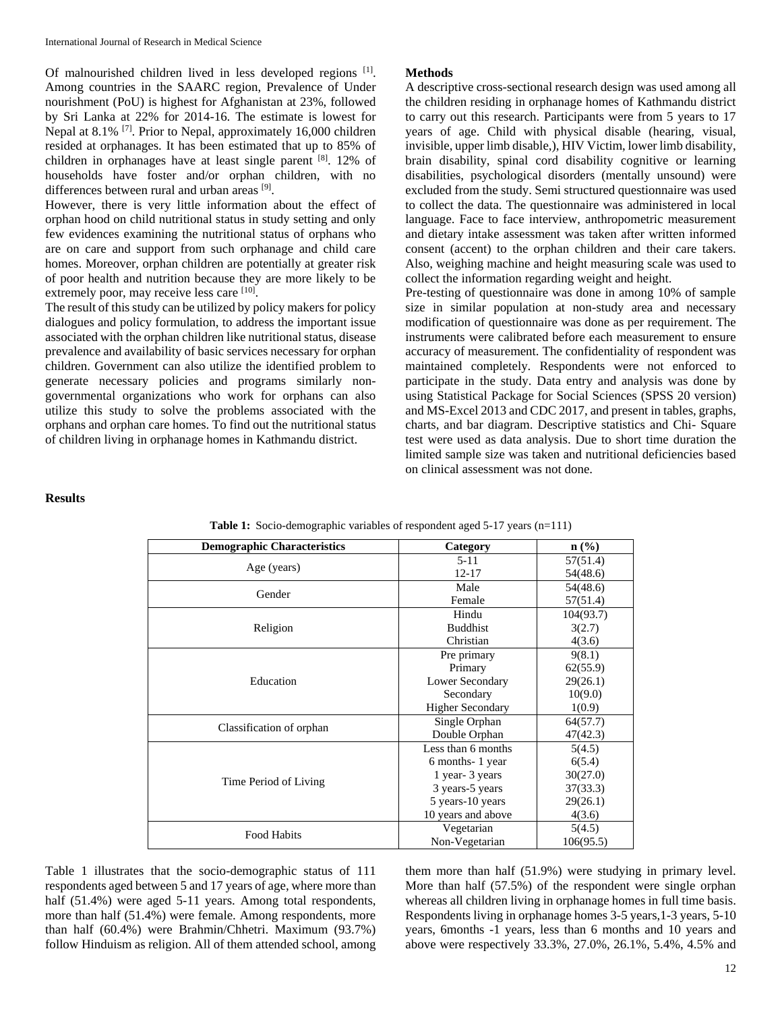Of malnourished children lived in less developed regions [1]. Among countries in the SAARC region, Prevalence of Under nourishment (PoU) is highest for Afghanistan at 23%, followed by Sri Lanka at 22% for 2014-16. The estimate is lowest for Nepal at 8.1%<sup>[7]</sup>. Prior to Nepal, approximately 16,000 children resided at orphanages. It has been estimated that up to 85% of children in orphanages have at least single parent  $[8]$ . 12% of households have foster and/or orphan children, with no differences between rural and urban areas [9].

However, there is very little information about the effect of orphan hood on child nutritional status in study setting and only few evidences examining the nutritional status of orphans who are on care and support from such orphanage and child care homes. Moreover, orphan children are potentially at greater risk of poor health and nutrition because they are more likely to be extremely poor, may receive less care [10].

The result of this study can be utilized by policy makers for policy dialogues and policy formulation, to address the important issue associated with the orphan children like nutritional status, disease prevalence and availability of basic services necessary for orphan children. Government can also utilize the identified problem to generate necessary policies and programs similarly nongovernmental organizations who work for orphans can also utilize this study to solve the problems associated with the orphans and orphan care homes. To find out the nutritional status of children living in orphanage homes in Kathmandu district.

#### **Methods**

A descriptive cross-sectional research design was used among all the children residing in orphanage homes of Kathmandu district to carry out this research. Participants were from 5 years to 17 years of age. Child with physical disable (hearing, visual, invisible, upper limb disable,), HIV Victim, lower limb disability, brain disability, spinal cord disability cognitive or learning disabilities, psychological disorders (mentally unsound) were excluded from the study. Semi structured questionnaire was used to collect the data. The questionnaire was administered in local language. Face to face interview, anthropometric measurement and dietary intake assessment was taken after written informed consent (accent) to the orphan children and their care takers. Also, weighing machine and height measuring scale was used to collect the information regarding weight and height.

Pre-testing of questionnaire was done in among 10% of sample size in similar population at non-study area and necessary modification of questionnaire was done as per requirement. The instruments were calibrated before each measurement to ensure accuracy of measurement. The confidentiality of respondent was maintained completely. Respondents were not enforced to participate in the study. Data entry and analysis was done by using Statistical Package for Social Sciences (SPSS 20 version) and MS-Excel 2013 and CDC 2017, and present in tables, graphs, charts, and bar diagram. Descriptive statistics and Chi- Square test were used as data analysis. Due to short time duration the limited sample size was taken and nutritional deficiencies based on clinical assessment was not done.

#### **Results**

| <b>Demographic Characteristics</b> | Category                | $\mathbf{n}(\%)$ |  |
|------------------------------------|-------------------------|------------------|--|
|                                    | $5 - 11$                | 57(51.4)         |  |
| Age (years)                        | $12 - 17$               | 54(48.6)         |  |
| Gender                             | Male                    | 54(48.6)         |  |
|                                    | Female                  | 57(51.4)         |  |
|                                    | Hindu                   | 104(93.7)        |  |
| Religion                           | <b>Buddhist</b>         | 3(2.7)           |  |
|                                    | Christian               | 4(3.6)           |  |
|                                    | Pre primary             | 9(8.1)           |  |
|                                    | Primary                 | 62(55.9)         |  |
| Education                          | Lower Secondary         | 29(26.1)         |  |
|                                    | Secondary               | 10(9.0)          |  |
|                                    | <b>Higher Secondary</b> | 1(0.9)           |  |
|                                    | Single Orphan           | 64(57.7)         |  |
| Classification of orphan           | Double Orphan           | 47(42.3)         |  |
| Time Period of Living              | Less than 6 months      | 5(4.5)           |  |
|                                    | 6 months - 1 year       | 6(5.4)           |  |
|                                    | 1 year- 3 years         | 30(27.0)         |  |
|                                    | 3 years-5 years         | 37(33.3)         |  |
|                                    | 5 years-10 years        | 29(26.1)         |  |
|                                    | 10 years and above      | 4(3.6)           |  |
| Food Habits                        | Vegetarian              | 5(4.5)           |  |
|                                    | Non-Vegetarian          | 106(95.5)        |  |

**Table 1:** Socio-demographic variables of respondent aged 5-17 years (n=111)

Table 1 illustrates that the socio-demographic status of 111 respondents aged between 5 and 17 years of age, where more than half (51.4%) were aged 5-11 years. Among total respondents, more than half (51.4%) were female. Among respondents, more than half (60.4%) were Brahmin/Chhetri. Maximum (93.7%) follow Hinduism as religion. All of them attended school, among them more than half (51.9%) were studying in primary level. More than half (57.5%) of the respondent were single orphan whereas all children living in orphanage homes in full time basis. Respondents living in orphanage homes 3-5 years, 1-3 years, 5-10 years, 6months -1 years, less than 6 months and 10 years and above were respectively 33.3%, 27.0%, 26.1%, 5.4%, 4.5% and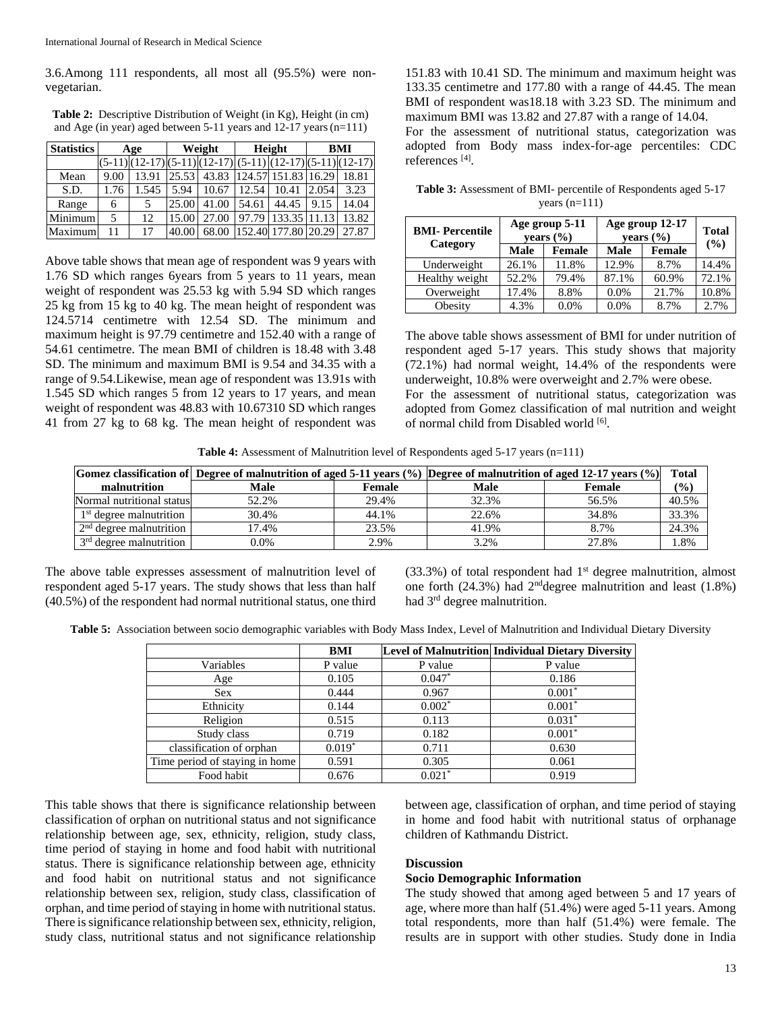3.6.Among 111 respondents, all most all (95.5%) were nonvegetarian.

**Table 2:** Descriptive Distribution of Weight (in Kg), Height (in cm) and Age (in year) aged between 5-11 years and 12-17 years(n=111)

| <b>Statistics</b> | Age  |                                                        | Weight |       | Height |                     | BMI   |       |
|-------------------|------|--------------------------------------------------------|--------|-------|--------|---------------------|-------|-------|
|                   |      | $(5-11)(12-17)(5-11)(12-17)(5-11)(12-17)(5-11)(12-17)$ |        |       |        |                     |       |       |
| Mean              | 9.00 | 13.91                                                  | 25.53  | 43.83 |        | 124.57 151.83 16.29 |       | 18.81 |
| S.D.              | 1.76 | 1.545                                                  | 5.94   | 10.67 | 12.54  | 10.41               | 2.054 | 3.23  |
| Range             | 6    |                                                        | 25.00  | 41.00 | 54.61  | 44.45               | 9.15  | 14.04 |
| Minimum           | 5    | 12                                                     | 15.00  | 27.00 | 97.79  | 133.35 11.13        |       | 13.82 |
| Maximum           | 11   | 17                                                     | 40.00  | 68.00 |        | 152.40 177.80 20.29 |       | 27.87 |

Above table shows that mean age of respondent was 9 years with 1.76 SD which ranges 6years from 5 years to 11 years, mean weight of respondent was 25.53 kg with 5.94 SD which ranges 25 kg from 15 kg to 40 kg. The mean height of respondent was 124.5714 centimetre with 12.54 SD. The minimum and maximum height is 97.79 centimetre and 152.40 with a range of 54.61 centimetre. The mean BMI of children is 18.48 with 3.48 SD. The minimum and maximum BMI is 9.54 and 34.35 with a range of 9.54.Likewise, mean age of respondent was 13.91s with 1.545 SD which ranges 5 from 12 years to 17 years, and mean weight of respondent was 48.83 with 10.67310 SD which ranges 41 from 27 kg to 68 kg. The mean height of respondent was

151.83 with 10.41 SD. The minimum and maximum height was 133.35 centimetre and 177.80 with a range of 44.45. The mean BMI of respondent was18.18 with 3.23 SD. The minimum and maximum BMI was 13.82 and 27.87 with a range of 14.04.

For the assessment of nutritional status, categorization was adopted from Body mass index-for-age percentiles: CDC references [4] .

**Table 3:** Assessment of BMI- percentile of Respondents aged 5-17 years (n=111)

| <b>BMI-Percentile</b> |       | Age group 5-11<br>vears $(\% )$ | Age group 12-17<br>vears $(\% )$ | <b>Total</b> |       |
|-----------------------|-------|---------------------------------|----------------------------------|--------------|-------|
| Category              | Male  | Female                          | Male                             | Female       | (%)   |
| Underweight           | 26.1% | 11.8%                           | 12.9%                            | 8.7%         | 14.4% |
| Healthy weight        | 52.2% | 79.4%                           | 87.1%                            | 60.9%        | 72.1% |
| Overweight            | 17.4% | 8.8%                            | 0.0%                             | 21.7%        | 10.8% |
| Obesity               | 4.3%  | 0.0%                            | 0.0%                             | 8.7%         | 2.7%  |

The above table shows assessment of BMI for under nutrition of respondent aged 5-17 years. This study shows that majority (72.1%) had normal weight, 14.4% of the respondents were underweight, 10.8% were overweight and 2.7% were obese.

For the assessment of nutritional status, categorization was adopted from Gomez classification of mal nutrition and weight of normal child from Disabled world [6].

**Table 4:** Assessment of Malnutrition level of Respondents aged 5-17 years (n=111)

|                           | Gomez classification of Degree of malnutrition of aged 5-11 years (%) Degree of malnutrition of aged 12-17 years (%) |               |       | <b>Total</b> |        |
|---------------------------|----------------------------------------------------------------------------------------------------------------------|---------------|-------|--------------|--------|
| malnutrition              | Male                                                                                                                 | <b>Female</b> | Male  | Female       | $(\%)$ |
| Normal nutritional status | 52.2%                                                                                                                | 29.4%         | 32.3% | 56.5%        | 40.5%  |
| $1st$ degree malnutrition | 30.4%                                                                                                                | 44.1%         | 22.6% | 34.8%        | 33.3%  |
| $2nd$ degree malnutrition | 17.4%                                                                                                                | 23.5%         | 41.9% | 8.7%         | 24.3%  |
| $3rd$ degree malnutrition | 0.0%                                                                                                                 | 2.9%          | 3.2%  | 27.8%        | 1.8%   |

The above table expresses assessment of malnutrition level of respondent aged 5-17 years. The study shows that less than half (40.5%) of the respondent had normal nutritional status, one third

 $(33.3%)$  of total respondent had  $1<sup>st</sup>$  degree malnutrition, almost one forth  $(24.3\%)$  had  $2<sup>nd</sup>$  degree malnutrition and least  $(1.8\%)$ had 3rd degree malnutrition.

**Table 5:** Association between socio demographic variables with Body Mass Index, Level of Malnutrition and Individual Dietary Diversity

|                                | <b>BMI</b> |          | Level of Malnutrition Individual Dietary Diversity |
|--------------------------------|------------|----------|----------------------------------------------------|
| Variables                      | P value    | P value  | P value                                            |
| Age                            | 0.105      | $0.047*$ | 0.186                                              |
| <b>Sex</b>                     | 0.444      | 0.967    | $0.001*$                                           |
| Ethnicity                      | 0.144      | $0.002*$ | $0.001*$                                           |
| Religion                       | 0.515      | 0.113    | $0.031*$                                           |
| Study class                    | 0.719      | 0.182    | $0.001*$                                           |
| classification of orphan       | $0.019*$   | 0.711    | 0.630                                              |
| Time period of staying in home | 0.591      | 0.305    | 0.061                                              |
| Food habit                     | 0.676      | $0.021*$ | 0.919                                              |

This table shows that there is significance relationship between classification of orphan on nutritional status and not significance relationship between age, sex, ethnicity, religion, study class, time period of staying in home and food habit with nutritional status. There is significance relationship between age, ethnicity and food habit on nutritional status and not significance relationship between sex, religion, study class, classification of orphan, and time period of staying in home with nutritional status. There is significance relationship between sex, ethnicity, religion, study class, nutritional status and not significance relationship

between age, classification of orphan, and time period of staying in home and food habit with nutritional status of orphanage children of Kathmandu District.

# **Discussion**

# **Socio Demographic Information**

The study showed that among aged between 5 and 17 years of age, where more than half (51.4%) were aged 5-11 years. Among total respondents, more than half (51.4%) were female. The results are in support with other studies. Study done in India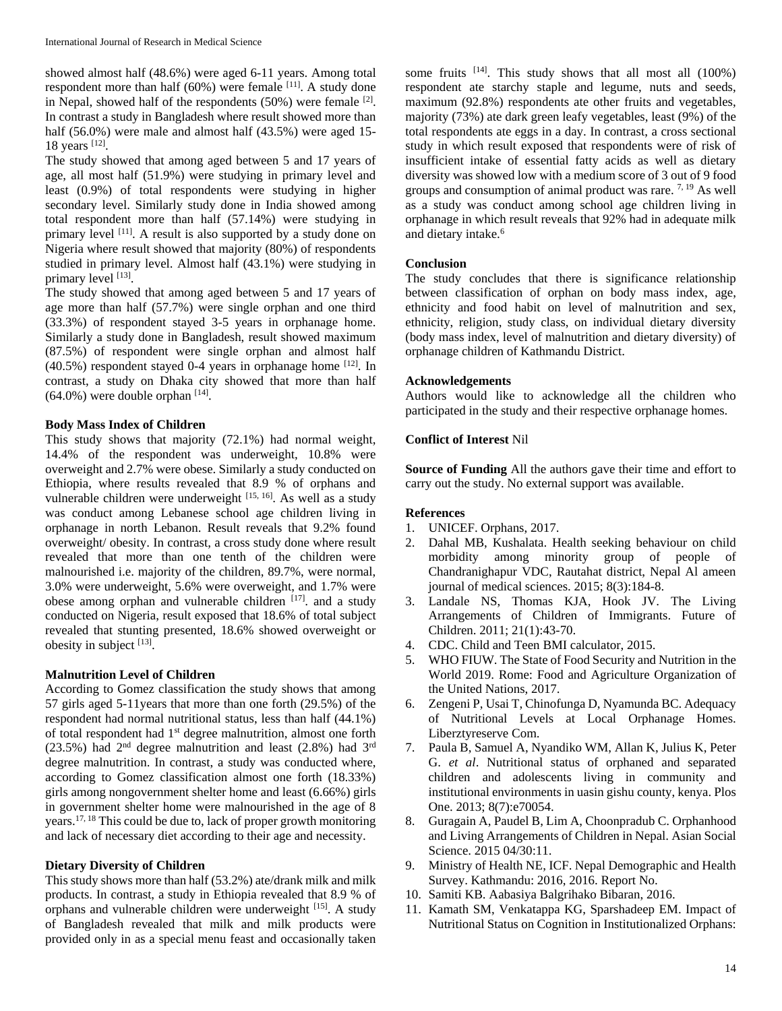showed almost half (48.6%) were aged 6-11 years. Among total respondent more than half  $(60%)$  were female [11]. A study done in Nepal, showed half of the respondents  $(50%)$  were female  $[2]$ . In contrast a study in Bangladesh where result showed more than half (56.0%) were male and almost half (43.5%) were aged 15-18 years [12].

The study showed that among aged between 5 and 17 years of age, all most half (51.9%) were studying in primary level and least (0.9%) of total respondents were studying in higher secondary level. Similarly study done in India showed among total respondent more than half (57.14%) were studying in primary level <sup>[11]</sup>. A result is also supported by a study done on Nigeria where result showed that majority (80%) of respondents studied in primary level. Almost half (43.1%) were studying in primary level [13].

The study showed that among aged between 5 and 17 years of age more than half (57.7%) were single orphan and one third (33.3%) of respondent stayed 3-5 years in orphanage home. Similarly a study done in Bangladesh, result showed maximum (87.5%) of respondent were single orphan and almost half (40.5%) respondent stayed 0-4 years in orphanage home [12] . In contrast, a study on Dhaka city showed that more than half  $(64.0\%)$  were double orphan  $^{[14]}$ .

# **Body Mass Index of Children**

This study shows that majority (72.1%) had normal weight, 14.4% of the respondent was underweight, 10.8% were overweight and 2.7% were obese. Similarly a study conducted on Ethiopia, where results revealed that 8.9 % of orphans and vulnerable children were underweight [15, 16]. As well as a study was conduct among Lebanese school age children living in orphanage in north Lebanon. Result reveals that 9.2% found overweight/ obesity. In contrast, a cross study done where result revealed that more than one tenth of the children were malnourished i.e. majority of the children, 89.7%, were normal, 3.0% were underweight, 5.6% were overweight, and 1.7% were obese among orphan and vulnerable children  $[17]$  and a study conducted on Nigeria, result exposed that 18.6% of total subject revealed that stunting presented, 18.6% showed overweight or obesity in subject  $^{[13]}$ .

# **Malnutrition Level of Children**

According to Gomez classification the study shows that among 57 girls aged 5-11years that more than one forth (29.5%) of the respondent had normal nutritional status, less than half (44.1%) of total respondent had 1st degree malnutrition, almost one forth  $(23.5\%)$  had  $2<sup>nd</sup>$  degree malnutrition and least  $(2.8\%)$  had  $3<sup>rd</sup>$ degree malnutrition. In contrast, a study was conducted where, according to Gomez classification almost one forth (18.33%) girls among nongovernment shelter home and least (6.66%) girls in government shelter home were malnourished in the age of 8 years.17, 18 This could be due to, lack of proper growth monitoring and lack of necessary diet according to their age and necessity.

#### **Dietary Diversity of Children**

This study shows more than half (53.2%) ate/drank milk and milk products. In contrast, a study in Ethiopia revealed that 8.9 % of orphans and vulnerable children were underweight [15]. A study of Bangladesh revealed that milk and milk products were provided only in as a special menu feast and occasionally taken

some fruits  $[14]$ . This study shows that all most all  $(100\%)$ respondent ate starchy staple and legume, nuts and seeds, maximum (92.8%) respondents ate other fruits and vegetables, majority (73%) ate dark green leafy vegetables, least (9%) of the total respondents ate eggs in a day. In contrast, a cross sectional study in which result exposed that respondents were of risk of insufficient intake of essential fatty acids as well as dietary diversity was showed low with a medium score of 3 out of 9 food groups and consumption of animal product was rare. 7, 19 As well as a study was conduct among school age children living in orphanage in which result reveals that 92% had in adequate milk and dietary intake.<sup>6</sup>

#### **Conclusion**

The study concludes that there is significance relationship between classification of orphan on body mass index, age, ethnicity and food habit on level of malnutrition and sex, ethnicity, religion, study class, on individual dietary diversity (body mass index, level of malnutrition and dietary diversity) of orphanage children of Kathmandu District.

#### **Acknowledgements**

Authors would like to acknowledge all the children who participated in the study and their respective orphanage homes.

#### **Conflict of Interest** Nil

**Source of Funding** All the authors gave their time and effort to carry out the study. No external support was available.

# **References**

- 1. UNICEF. Orphans, 2017.
- 2. Dahal MB, Kushalata. Health seeking behaviour on child morbidity among minority group of people of Chandranighapur VDC, Rautahat district, Nepal Al ameen journal of medical sciences. 2015; 8(3):184-8.
- 3. Landale NS, Thomas KJA, Hook JV. The Living Arrangements of Children of Immigrants. Future of Children. 2011; 21(1):43-70.
- 4. CDC. Child and Teen BMI calculator, 2015.
- 5. WHO FIUW. The State of Food Security and Nutrition in the World 2019. Rome: Food and Agriculture Organization of the United Nations, 2017.
- 6. Zengeni P, Usai T, Chinofunga D, Nyamunda BC. Adequacy of Nutritional Levels at Local Orphanage Homes. Liberztyreserve Com.
- 7. Paula B, Samuel A, Nyandiko WM, Allan K, Julius K, Peter G. *et al*. Nutritional status of orphaned and separated children and adolescents living in community and institutional environments in uasin gishu county, kenya. Plos One. 2013; 8(7):e70054.
- 8. Guragain A, Paudel B, Lim A, Choonpradub C. Orphanhood and Living Arrangements of Children in Nepal. Asian Social Science. 2015 04/30:11.
- 9. Ministry of Health NE, ICF. Nepal Demographic and Health Survey. Kathmandu: 2016, 2016. Report No.
- 10. Samiti KB. Aabasiya Balgrihako Bibaran, 2016.
- 11. Kamath SM, Venkatappa KG, Sparshadeep EM. Impact of Nutritional Status on Cognition in Institutionalized Orphans: